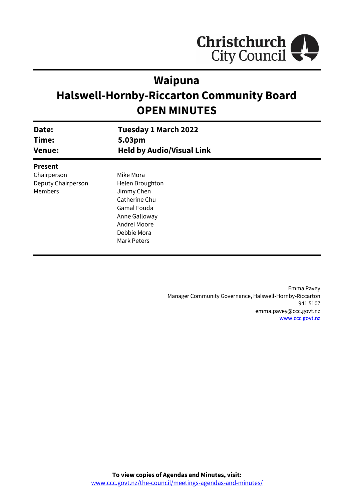

# **Waipuna**

# **Halswell-Hornby-Riccarton Community Board OPEN MINUTES**

| Date:<br>Time:     | <b>Tuesday 1 March 2022</b><br>5.03pm |  |
|--------------------|---------------------------------------|--|
| <b>Venue:</b>      | <b>Held by Audio/Visual Link</b>      |  |
| <b>Present</b>     |                                       |  |
| Chairperson        | Mike Mora                             |  |
| Deputy Chairperson | Helen Broughton                       |  |
| Members            | Jimmy Chen                            |  |
|                    | Catherine Chu                         |  |
|                    | Gamal Fouda                           |  |
|                    | Anne Galloway                         |  |
|                    | Andrei Moore                          |  |
|                    | Debbie Mora                           |  |
|                    | Mark Peters                           |  |
|                    |                                       |  |

Emma Pavey Manager Community Governance, Halswell-Hornby-Riccarton 941 5107 emma.pavey@ccc.govt.nz [www.ccc.govt.nz](http://www.ccc.govt.nz/)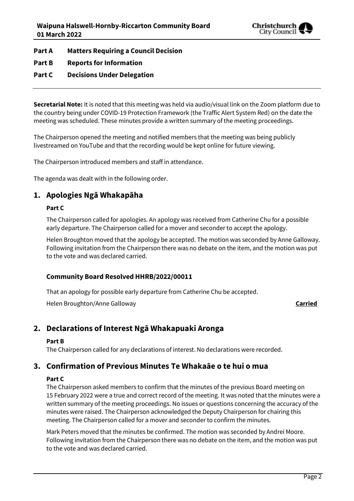

**Part A Matters Requiring a Council Decision**

# **Part B Reports for Information**

# **Part C Decisions Under Delegation**

**Secretarial Note:** It is noted that this meeting was held via audio/visual link on the Zoom platform due to the country being under COVID-19 Protection Framework (the Traffic Alert System Red) on the date the meeting was scheduled. These minutes provide a written summary of the meeting proceedings.

The Chairperson opened the meeting and notified members that the meeting was being publicly livestreamed on YouTube and that the recording would be kept online for future viewing.

The Chairperson introduced members and staff in attendance.

The agenda was dealt with in the following order.

# **1. Apologies Ngā Whakapāha**

# **Part C**

The Chairperson called for apologies. An apology was received from Catherine Chu for a possible early departure. The Chairperson called for a mover and seconder to accept the apology.

Helen Broughton moved that the apology be accepted. The motion was seconded by Anne Galloway. Following invitation from the Chairperson there was no debate on the item, and the motion was put to the vote and was declared carried.

# **Community Board Resolved HHRB/2022/00011**

That an apology for possible early departure from Catherine Chu be accepted.

Helen Broughton/Anne Galloway **Carried**

# **2. Declarations of Interest Ngā Whakapuaki Aronga**

# **Part B**

The Chairperson called for any declarations of interest. No declarations were recorded.

# **3. Confirmation of Previous Minutes Te Whakaāe o te hui o mua**

# **Part C**

The Chairperson asked members to confirm that the minutes of the previous Board meeting on 15 February 2022 were a true and correct record of the meeting. It was noted that the minutes were a written summary of the meeting proceedings. No issues or questions concerning the accuracy of the minutes were raised. The Chairperson acknowledged the Deputy Chairperson for chairing this meeting. The Chairperson called for a mover and seconder to confirm the minutes.

Mark Peters moved that the minutes be confirmed. The motion was seconded by Andrei Moore. Following invitation from the Chairperson there was no debate on the item, and the motion was put to the vote and was declared carried.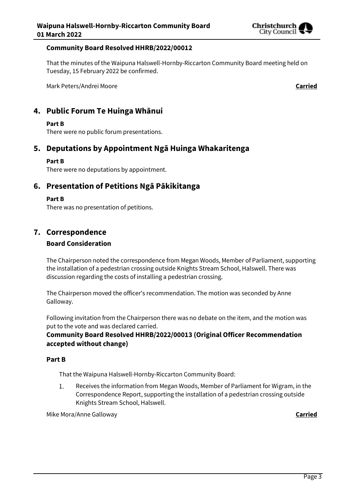

# **Community Board Resolved HHRB/2022/00012**

That the minutes of the Waipuna Halswell-Hornby-Riccarton Community Board meeting held on Tuesday, 15 February 2022 be confirmed.

Mark Peters/Andrei Moore **Carried**

# **4. Public Forum Te Huinga Whānui**

#### **Part B**

There were no public forum presentations.

# **5. Deputations by Appointment Ngā Huinga Whakaritenga**

#### **Part B**

There were no deputations by appointment.

# **6. Presentation of Petitions Ngā Pākikitanga**

#### **Part B**

There was no presentation of petitions.

# **7. Correspondence**

# **Board Consideration**

The Chairperson noted the correspondence from Megan Woods, Member of Parliament, supporting the installation of a pedestrian crossing outside Knights Stream School, Halswell. There was discussion regarding the costs of installing a pedestrian crossing.

The Chairperson moved the officer's recommendation. The motion was seconded by Anne Galloway.

Following invitation from the Chairperson there was no debate on the item, and the motion was put to the vote and was declared carried.

# **Community Board Resolved HHRB/2022/00013 (Original Officer Recommendation accepted without change)**

#### **Part B**

That the Waipuna Halswell-Hornby-Riccarton Community Board:

1. Receives the information from Megan Woods, Member of Parliament for Wigram, in the Correspondence Report, supporting the installation of a pedestrian crossing outside Knights Stream School, Halswell.

Mike Mora/Anne Galloway **Carried**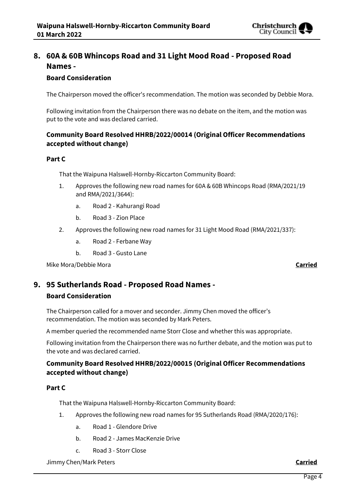

# **8. 60A & 60B Whincops Road and 31 Light Mood Road - Proposed Road Names -**

# **Board Consideration**

The Chairperson moved the officer's recommendation. The motion was seconded by Debbie Mora.

Following invitation from the Chairperson there was no debate on the item, and the motion was put to the vote and was declared carried.

# **Community Board Resolved HHRB/2022/00014 (Original Officer Recommendations accepted without change)**

# **Part C**

That the Waipuna Halswell-Hornby-Riccarton Community Board:

- 1. Approves the following new road names for 60A & 60B Whincops Road (RMA/2021/19 and RMA/2021/3644):
	- a. Road 2 Kahurangi Road
	- b. Road 3 Zion Place
- 2. Approves the following new road names for 31 Light Mood Road (RMA/2021/337):
	- a. Road 2 Ferbane Way
	- b. Road 3 Gusto Lane

Mike Mora/Debbie Mora **Carried**

# **9. 95 Sutherlands Road - Proposed Road Names -**

# **Board Consideration**

The Chairperson called for a mover and seconder. Jimmy Chen moved the officer's recommendation. The motion was seconded by Mark Peters.

A member queried the recommended name Storr Close and whether this was appropriate.

Following invitation from the Chairperson there was no further debate, and the motion was put to the vote and was declared carried.

# **Community Board Resolved HHRB/2022/00015 (Original Officer Recommendations accepted without change)**

# **Part C**

That the Waipuna Halswell-Hornby-Riccarton Community Board:

- 1. Approves the following new road names for 95 Sutherlands Road (RMA/2020/176):
	- a. Road 1 Glendore Drive
	- b. Road 2 James MacKenzie Drive
	- c. Road 3 Storr Close

Jimmy Chen/Mark Peters **Carried**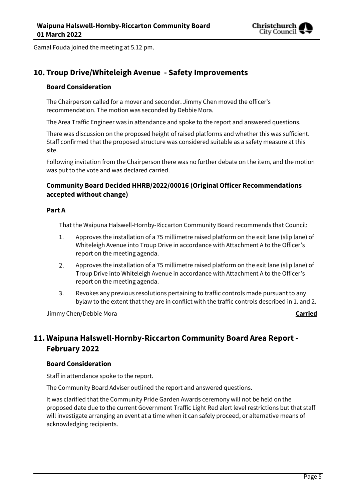

Gamal Fouda joined the meeting at 5.12 pm.

# **10. Troup Drive/Whiteleigh Avenue - Safety Improvements**

# **Board Consideration**

The Chairperson called for a mover and seconder. Jimmy Chen moved the officer's recommendation. The motion was seconded by Debbie Mora.

The Area Traffic Engineer was in attendance and spoke to the report and answered questions.

There was discussion on the proposed height of raised platforms and whether this was sufficient. Staff confirmed that the proposed structure was considered suitable as a safety measure at this site.

Following invitation from the Chairperson there was no further debate on the item, and the motion was put to the vote and was declared carried.

# **Community Board Decided HHRB/2022/00016 (Original Officer Recommendations accepted without change)**

# **Part A**

That the Waipuna Halswell-Hornby-Riccarton Community Board recommends that Council:

- 1. Approves the installation of a 75 millimetre raised platform on the exit lane (slip lane) of Whiteleigh Avenue into Troup Drive in accordance with Attachment A to the Officer's report on the meeting agenda.
- $2.$ Approves the installation of a 75 millimetre raised platform on the exit lane (slip lane) of Troup Drive into Whiteleigh Avenue in accordance with Attachment A to the Officer's report on the meeting agenda.
- 3. Revokes any previous resolutions pertaining to traffic controls made pursuant to any bylaw to the extent that they are in conflict with the traffic controls described in 1. and 2.

Jimmy Chen/Debbie Mora **Carried**

# **11. Waipuna Halswell-Hornby-Riccarton Community Board Area Report - February 2022**

# **Board Consideration**

Staff in attendance spoke to the report.

The Community Board Adviser outlined the report and answered questions.

It was clarified that the Community Pride Garden Awards ceremony will not be held on the proposed date due to the current Government Traffic Light Red alert level restrictions but that staff will investigate arranging an event at a time when it can safely proceed, or alternative means of acknowledging recipients.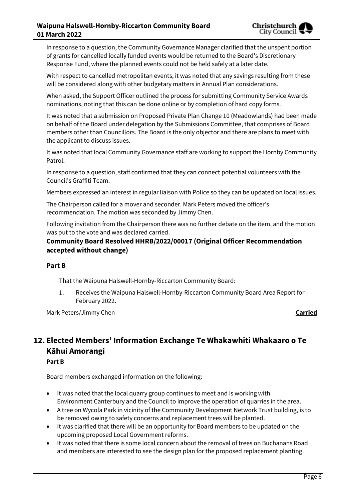In response to a question, the Community Governance Manager clarified that the unspent portion of grants for cancelled locally funded events would be returned to the Board's Discretionary Response Fund, where the planned events could not be held safely at a later date.

With respect to cancelled metropolitan events, it was noted that any savings resulting from these will be considered along with other budgetary matters in Annual Plan considerations.

When asked, the Support Officer outlined the process for submitting Community Service Awards nominations, noting that this can be done online or by completion of hard copy forms.

It was noted that a submission on Proposed Private Plan Change 10 (Meadowlands) had been made on behalf of the Board under delegation by the Submissions Committee, that comprises of Board members other than Councillors. The Board is the only objector and there are plans to meet with the applicant to discuss issues.

It was noted that local Community Governance staff are working to support the Hornby Community Patrol.

In response to a question, staff confirmed that they can connect potential volunteers with the Council's Graffiti Team.

Members expressed an interest in regular liaison with Police so they can be updated on local issues.

The Chairperson called for a mover and seconder. Mark Peters moved the officer's recommendation. The motion was seconded by Jimmy Chen.

Following invitation from the Chairperson there was no further debate on the item, and the motion was put to the vote and was declared carried.

# **Community Board Resolved HHRB/2022/00017 (Original Officer Recommendation accepted without change)**

# **Part B**

That the Waipuna Halswell-Hornby-Riccarton Community Board:

1. Receives the Waipuna Halswell-Hornby-Riccarton Community Board Area Report for February 2022.

Mark Peters/Jimmy Chen **Carried**

# **12. Elected Members' Information Exchange Te Whakawhiti Whakaaro o Te Kāhui Amorangi**

# **Part B**

Board members exchanged information on the following:

- It was noted that the local quarry group continues to meet and is working with Environment Canterbury and the Council to improve the operation of quarries in the area.
- A tree on Wycola Park in vicinity of the Community Development Network Trust building, is to be removed owing to safety concerns and replacement trees will be planted.
- It was clarified that there will be an opportunity for Board members to be updated on the upcoming proposed Local Government reforms.
- It was noted that there is some local concern about the removal of trees on Buchanans Road and members are interested to see the design plan for the proposed replacement planting.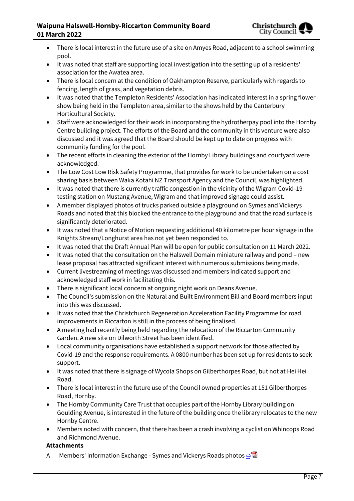# **Waipuna Halswell-Hornby-Riccarton Community Board 01 March 2022**

- There is local interest in the future use of a site on Amyes Road, adjacent to a school swimming pool.
- It was noted that staff are supporting local investigation into the setting up of a residents' association for the Awatea area.
- There is local concern at the condition of Oakhampton Reserve, particularly with regards to fencing, length of grass, and vegetation debris.
- It was noted that the Templeton Residents' Association has indicated interest in a spring flower show being held in the Templeton area, similar to the shows held by the Canterbury Horticultural Society.
- Staff were acknowledged for their work in incorporating the hydrotherpay pool into the Hornby Centre building project. The efforts of the Board and the community in this venture were also discussed and it was agreed that the Board should be kept up to date on progress with community funding for the pool.
- The recent efforts in cleaning the exterior of the Hornby Library buildings and courtyard were acknowledged.
- The Low Cost Low Risk Safety Programme, that provides for work to be undertaken on a cost sharing basis between Waka Kotahi NZ Transport Agency and the Council, was highlighted.
- It was noted that there is currently traffic congestion in the vicinity of the Wigram Covid-19 testing station on Mustang Avenue, Wigram and that improved signage could assist.
- A member displayed photos of trucks parked outside a playground on Symes and Vickerys Roads and noted that this blocked the entrance to the playground and that the road surface is significantly deteriorated.
- It was noted that a Notice of Motion requesting additional 40 kilometre per hour signage in the Knights Stream/Longhurst area has not yet been responded to.
- It was noted that the Draft Annual Plan will be open for public consultation on 11 March 2022.
- It was noted that the consultation on the Halswell Domain miniature railway and pond new lease proposal has attracted significant interest with numerous submissions being made.
- Current livestreaming of meetings was discussed and members indicated support and acknowledged staff work in facilitating this.
- There is significant local concern at ongoing night work on Deans Avenue.
- The Council's submission on the Natural and Built Environment Bill and Board members input into this was discussed.
- It was noted that the Christchurch Regeneration Acceleration Facility Programme for road improvements in Riccarton is still in the process of being finalised.
- A meeting had recently being held regarding the relocation of the Riccarton Community Garden. A new site on Dilworth Street has been identified.
- Local community organisations have established a support network for those affected by Covid-19 and the response requirements. A 0800 number has been set up for residents to seek support.
- It was noted that there is signage of Wycola Shops on Gilberthorpes Road, but not at Hei Hei Road.
- There is local interest in the future use of the Council owned properties at 151 Gilberthorpes Road, Hornby.
- The Hornby Community Care Trust that occupies part of the Hornby Library building on Goulding Avenue, is interested in the future of the building once the library relocates to the new Hornby Centre.
- Members noted with concern, that there has been a crash involving a cyclist on Whincops Road and Richmond Avenue.

# **Attachments**

A Members' Information Exchange - Symes and Vickerys Roads photos **[⇨](../../../RedirectToInvalidFileName.aspx?FileName=HHRB_20220301_MAT_7630.PDF#PAGE=3)</u>**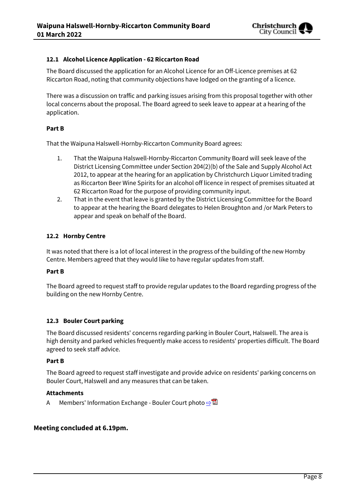

# **12.1 Alcohol Licence Application - 62 Riccarton Road**

The Board discussed the application for an Alcohol Licence for an Off-Licence premises at 62 Riccarton Road, noting that community objections have lodged on the granting of a licence.

There was a discussion on traffic and parking issues arising from this proposal together with other local concerns about the proposal. The Board agreed to seek leave to appear at a hearing of the application.

# **Part B**

That the Waipuna Halswell-Hornby-Riccarton Community Board agrees:

- 1. That the Waipuna Halswell-Hornby-Riccarton Community Board will seek leave of the District Licensing Committee under Section 204(2)(b) of the Sale and Supply Alcohol Act 2012, to appear at the hearing for an application by Christchurch Liquor Limited trading as Riccarton Beer Wine Spirits for an alcohol off licence in respect of premises situated at 62 Riccarton Road for the purpose of providing community input.
- 2. That in the event that leave is granted by the District Licensing Committee for the Board to appear at the hearing the Board delegates to Helen Broughton and /or Mark Peters to appear and speak on behalf of the Board.

# **12.2 Hornby Centre**

It was noted that there is a lot of local interest in the progress of the building of the new Hornby Centre. Members agreed that they would like to have regular updates from staff.

# **Part B**

The Board agreed to request staff to provide regular updates to the Board regarding progress of the building on the new Hornby Centre.

# **12.3 Bouler Court parking**

The Board discussed residents' concerns regarding parking in Bouler Court, Halswell. The area is high density and parked vehicles frequently make access to residents' properties difficult. The Board agreed to seek staff advice.

# **Part B**

The Board agreed to request staff investigate and provide advice on residents' parking concerns on Bouler Court, Halswell and any measures that can be taken.

# **Attachments**

A Members' Information Exchange - Bouler Court photo  $\Rightarrow \blacksquare$ 

# **Meeting concluded at 6.19pm.**